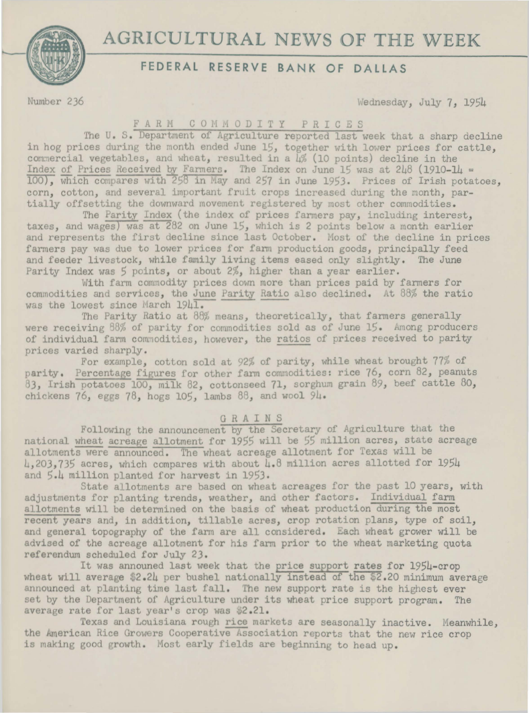# AGRICULTURAL NEWS OF THE WEEK



## FEDERAL RESERVE BANK OF DALLAS

Number 236

Wednesday, July 7, 1954

### FARM COMMODITY PRICES

The U.S. Department of Agriculture reported last week that a sharp decline in hog prices during the month ended June 15, together with lower prices for cattle, commercial vegetables, and wheat, resulted in a 4% (10 points) decline in the Index of Prices Received by Farmers. The Index on June 15 was at  $248$  (1910-14 = 100), which compares with 258 in May and 257 in June 1953. Prices of Irish potatoes, corn, cotton, and several important fruit crops increased during the month, partially offsetting the downward movement registered by most other commodities.

The Parity Index (the index of prices farmers pay, including interest, taxes, and wages) was at 282 on June 15, which is 2 points below a month earlier and represents the first decline since last October. Most of the decline in prices farmers pay was due to lower prices for farm production goods, principally feed and feeder livestock, while family living items eased only slightly. The June Parity Index was 5 points, or about 2%, higher than a year earlier.

With farm commodity prices down more than prices paid by farmers for commodities and services, the June Parity Ratio also declined. At 88% the ratio was the lowest since March 1941.

The Parity Ratio at 88% means, theoretically, that farmers generally were receiving 88% of parity for commodities sold as of June 15. Among producers of individual farm commodities, however, the ratios of prices received to parity prices varied sharply.

For example, cotton sold at 92% of parity, while wheat brought 77% of parity. Percentage figures for other farm commodities: rice 76, corn 82, peanuts 83, Irish potatoes 100, milk 82, cottonseed 71, sorghum grain 89, beef cattle 80, chickens 76, eggs 78, hogs 105, lambs 88, and wool 94.

### GRAINS

Following the announcement by the Secretary of Agriculture that the national wheat acreage allotment for 1955 will be 55 million acres, state acreage allotments were announced. The wheat acreage allotment for Texas will be 4,203,735 acres, which compares with about 4.8 million acres allotted for 1954 and 5.4 million planted for harvest in 1953.

State allotments are based on wheat acreages for the past 10 years, with adjustments for planting trends, weather, and other factors. Individual farm allotments will be determined on the basis of wheat production during the most recent years and, in addition, tillable acres, crop rotation plans, type of soil, and general topography of the farm are all considered. Each wheat grower will be advised of the acreage allotment for his farm prior to the wheat marketing quota referendum scheduled for July 23.

It was announed last week that the price support rates for 1954-crop wheat will average  $2.24$  per bushel nationally instead of the  $2.20$  minimum average announced at planting time last fall. The new support rate is the highest ever set by the Department of Agriculture under its wheat price support program. The average rate for last year's crop was \$2.21.

Texas and Louisiana rough rice markets are seasonally inactive. Meanwhile, the American Rice Growers Cooperative Association reports that the new rice crop is making good growth. Most early fields are beginning to head up.